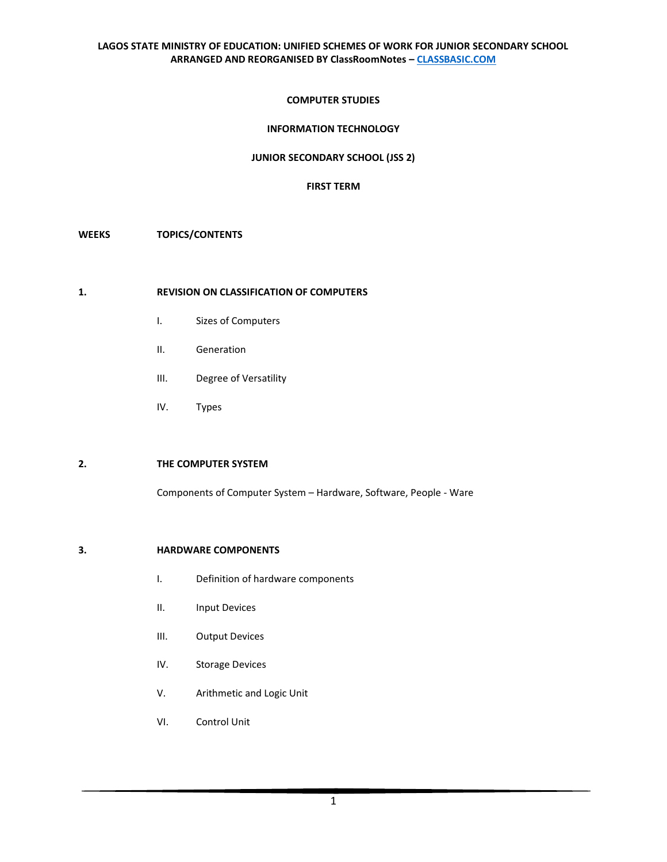## **COMPUTER STUDIES**

# **INFORMATION TECHNOLOGY**

## **JUNIOR SECONDARY SCHOOL (JSS 2)**

## **FIRST TERM**

# **WEEKS TOPICS/CONTENTS**

#### **1. REVISION ON CLASSIFICATION OF COMPUTERS**

- I. Sizes of Computers
- II. Generation
- III. Degree of Versatility
- IV. Types

# **2. THE COMPUTER SYSTEM**

Components of Computer System – Hardware, Software, People - Ware

## **3. HARDWARE COMPONENTS**

- I. Definition of hardware components
- II. Input Devices
- III. Output Devices
- IV. Storage Devices
- V. Arithmetic and Logic Unit
- VI. Control Unit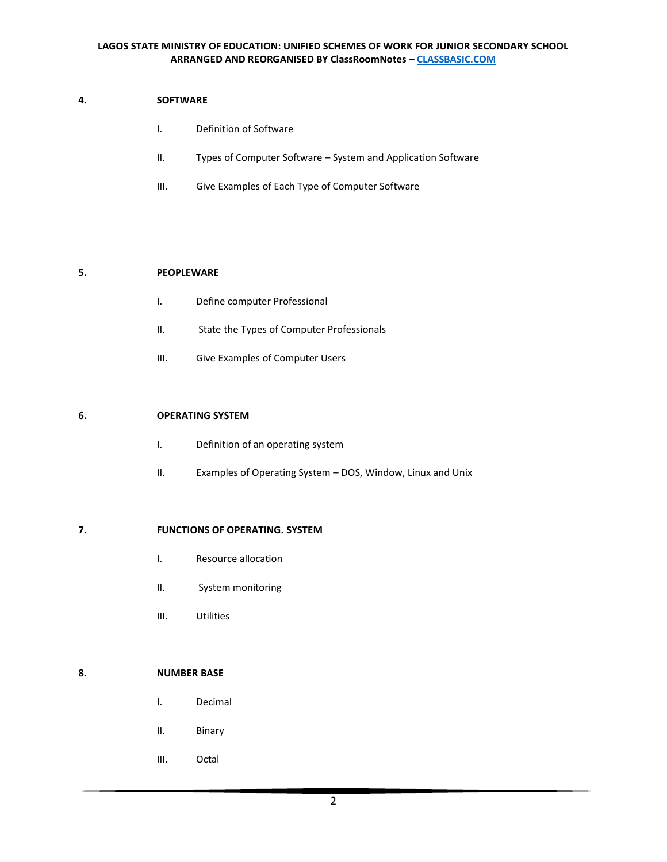## **4. SOFTWARE**

- I. Definition of Software
- II. Types of Computer Software System and Application Software
- III. Give Examples of Each Type of Computer Software

# **5. PEOPLEWARE**

- I. Define computer Professional
- II. State the Types of Computer Professionals
- III. Give Examples of Computer Users

# **6. OPERATING SYSTEM**

- I. Definition of an operating system
- II. Examples of Operating System DOS, Window, Linux and Unix

# **7. FUNCTIONS OF OPERATING. SYSTEM**

- I. Resource allocation
- II. System monitoring
- III. Utilities

## **8. NUMBER BASE**

- I. Decimal
- II. Binary
- III. Octal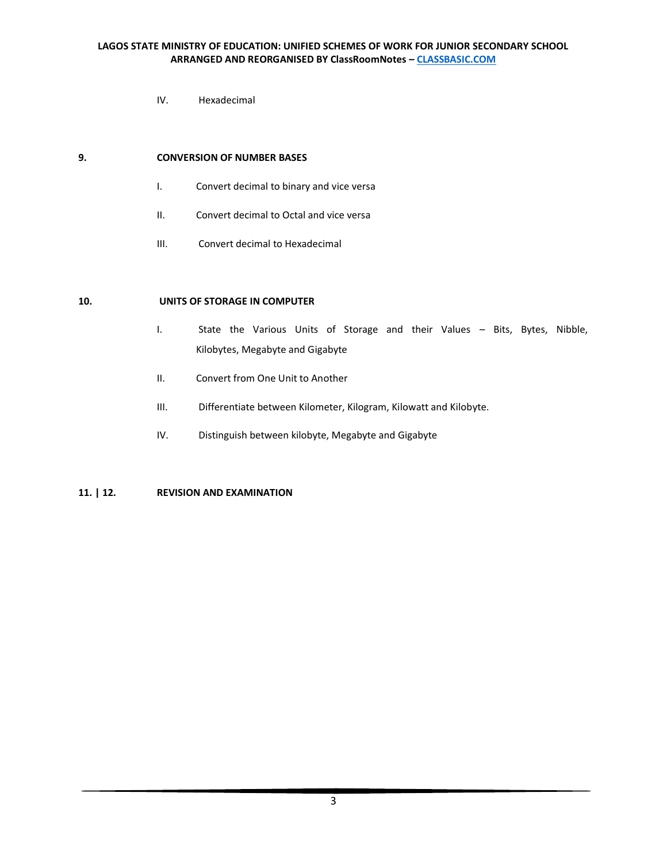IV. Hexadecimal

#### **9. CONVERSION OF NUMBER BASES**

- I. Convert decimal to binary and vice versa
- II. Convert decimal to Octal and vice versa
- III. Convert decimal to Hexadecimal

## **10. UNITS OF STORAGE IN COMPUTER**

- I. State the Various Units of Storage and their Values Bits, Bytes, Nibble, Kilobytes, Megabyte and Gigabyte
- II. Convert from One Unit to Another
- III. Differentiate between Kilometer, Kilogram, Kilowatt and Kilobyte.
- IV. Distinguish between kilobyte, Megabyte and Gigabyte

# **11. | 12. REVISION AND EXAMINATION**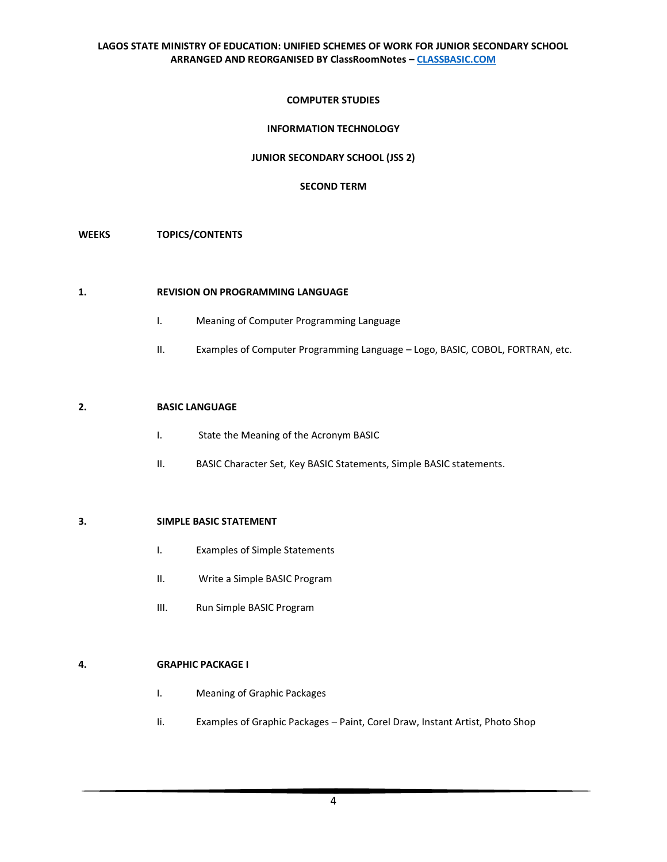## **COMPUTER STUDIES**

# **INFORMATION TECHNOLOGY**

## **JUNIOR SECONDARY SCHOOL (JSS 2)**

## **SECOND TERM**

## **WEEKS TOPICS/CONTENTS**

# **1. REVISION ON PROGRAMMING LANGUAGE**

- I. Meaning of Computer Programming Language
- II. Examples of Computer Programming Language Logo, BASIC, COBOL, FORTRAN, etc.

# **2. BASIC LANGUAGE**

- I. State the Meaning of the Acronym BASIC
- II. BASIC Character Set, Key BASIC Statements, Simple BASIC statements.

# **3. SIMPLE BASIC STATEMENT**

- I. Examples of Simple Statements
- II. Write a Simple BASIC Program
- III. Run Simple BASIC Program

# **4. GRAPHIC PACKAGE I**

- I. Meaning of Graphic Packages
- Ii. Examples of Graphic Packages Paint, Corel Draw, Instant Artist, Photo Shop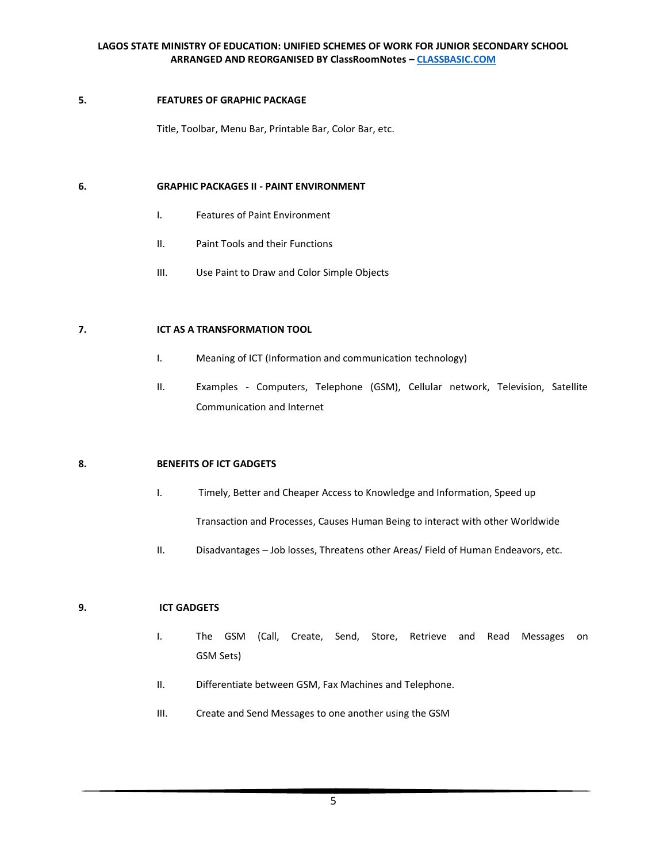## **5. FEATURES OF GRAPHIC PACKAGE**

Title, Toolbar, Menu Bar, Printable Bar, Color Bar, etc.

## **6. GRAPHIC PACKAGES II - PAINT ENVIRONMENT**

- I. Features of Paint Environment
- II. Paint Tools and their Functions
- III. Use Paint to Draw and Color Simple Objects

# **7. ICT AS A TRANSFORMATION TOOL**

- I. Meaning of ICT (Information and communication technology)
- II. Examples Computers, Telephone (GSM), Cellular network, Television, Satellite Communication and Internet

# **8. BENEFITS OF ICT GADGETS**

- I. Timely, Better and Cheaper Access to Knowledge and Information, Speed up Transaction and Processes, Causes Human Being to interact with other Worldwide
- II. Disadvantages Job losses, Threatens other Areas/ Field of Human Endeavors, etc.

# **9. ICT GADGETS**

- I. The GSM (Call, Create, Send, Store, Retrieve and Read Messages on GSM Sets)
- II. Differentiate between GSM, Fax Machines and Telephone.
- III. Create and Send Messages to one another using the GSM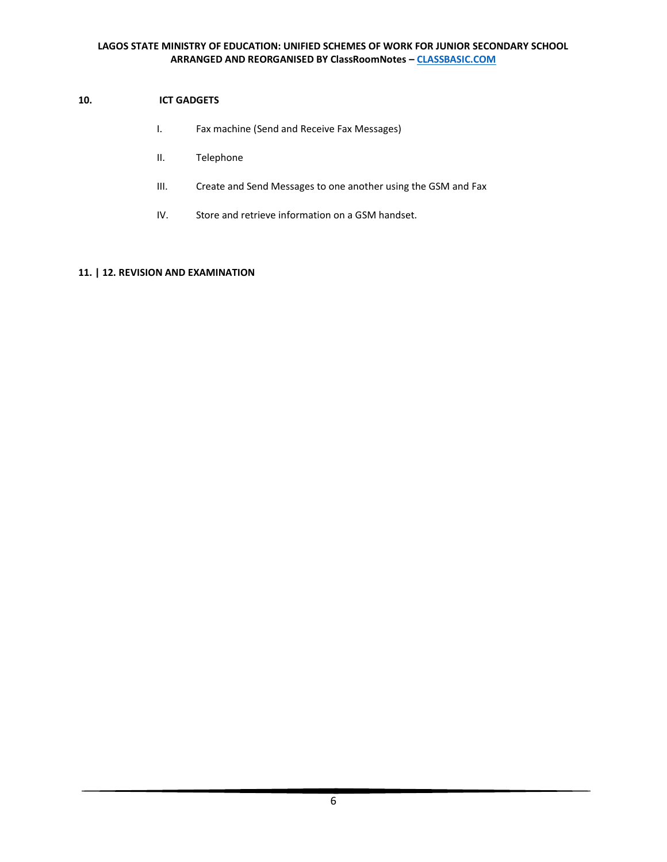# **10. ICT GADGETS**

- I. Fax machine (Send and Receive Fax Messages)
- II. Telephone
- III. Create and Send Messages to one another using the GSM and Fax
- IV. Store and retrieve information on a GSM handset.

# **11. | 12. REVISION AN[D EXAMINATION](https://classbasic.com/2020/03/22/second-term-examination-computer-studies-ict-basic-8-jss-2-clicksamplenote-exam4free/)**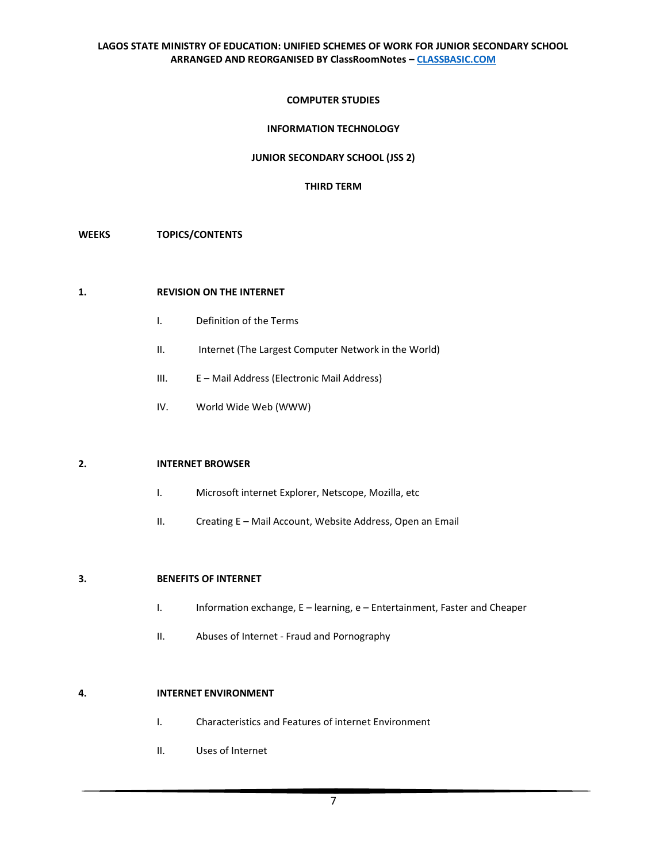## **COMPUTER STUDIES**

# **INFORMATION TECHNOLOGY**

## **JUNIOR SECONDARY SCHOOL (JSS 2)**

## **THIRD TERM**

## **WEEKS TOPICS/CONTENTS**

#### **1. REVISION ON THE INTERNET**

- I. Definition of the Terms
- II. Internet (The Largest Computer Network in the World)
- III. E Mail Address (Electronic Mail Address)
- IV. World Wide Web (WWW)

# **2. INTERNET BROWSER**

- I. Microsoft internet Explorer, Netscope, Mozilla, etc
- II. Creating E Mail Account, Website Address, Open an Email

## **3. BENEFITS OF INTERNET**

- I. Information exchange, E learning, e Entertainment, Faster and Cheaper
- II. Abuses of Internet Fraud and Pornography

## **4. INTERNET ENVIRONMENT**

- I. Characteristics and Features of internet Environment
- II. Uses of Internet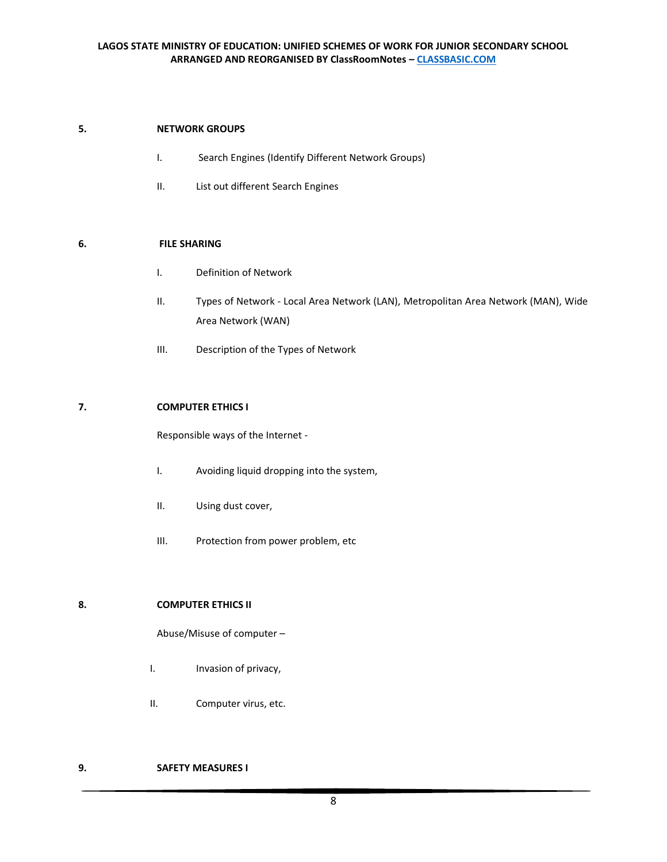# **5. NETWORK GROUPS**

- I. Search Engines (Identify Different Network Groups)
- II. List out different Search Engines

# **6. FILE SHARING**

- I. Definition of Network
- II. Types of Network Local Area Network (LAN), Metropolitan Area Network (MAN), Wide Area Network (WAN)
- III. Description of the Types of Network

# **7. COMPUTER ETHICS I**

Responsible ways of the Internet -

- I. Avoiding liquid dropping into the system,
- II. Using dust cover,
- III. Protection from power problem, etc

# **8. COMPUTER ETHICS II**

Abuse/Misuse of computer –

- I. Invasion of privacy,
- II. Computer virus, etc.

## **9. SAFETY MEASURES I**